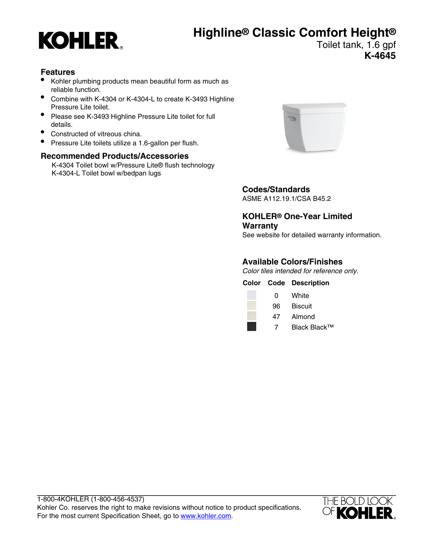# **Highline® Classic Comfort Height®**



### Toilet tank, 1.6 gpf **K-4645**

### **Features**

- Kohler plumbing products mean beautiful form as much as reliable function.
- Combine with K-4304 or K-4304-L to create K-3493 Highline Pressure Lite toilet.
- Please see K-3493 Highline Pressure Lite toilet for full details.
- Constructed of vitreous china.
- Pressure Lite toilets utilize a 1.6-gallon per flush.

### **Recommended Products/Accessories**

K-4304 Toilet bowl w/Pressure Lite® flush technology K-4304-L Toilet bowl w/bedpan lugs



### **Codes/Standards**

ASME A112.19.1/CSA B45.2

**KOHLER® One-Year Limited Warranty**

### See website for detailed warranty information.

### **Available Colors/Finishes**

Color tiles intended for reference only.

|    | <b>Color Code Description</b> |
|----|-------------------------------|
| 0  | White                         |
| 96 | <b>Biscuit</b>                |
| 47 | Almond                        |
|    |                               |

7 Black Black™